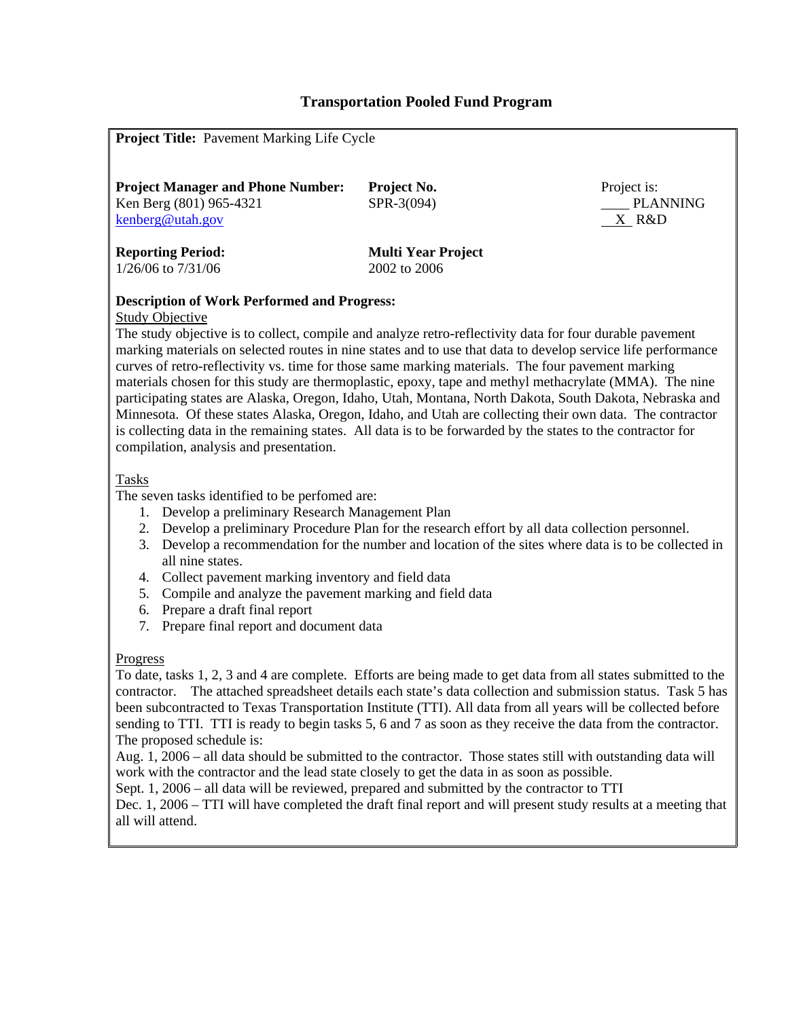## **Transportation Pooled Fund Program**

| <b>Project Title:</b> Pavement Marking Life Cycle                                                                                                                                                                                                                                                                                                                                                                                                                                                                                                                                                                                                                                                                                                                                                                                                                                                        |                           |                                           |  |  |  |  |  |  |  |
|----------------------------------------------------------------------------------------------------------------------------------------------------------------------------------------------------------------------------------------------------------------------------------------------------------------------------------------------------------------------------------------------------------------------------------------------------------------------------------------------------------------------------------------------------------------------------------------------------------------------------------------------------------------------------------------------------------------------------------------------------------------------------------------------------------------------------------------------------------------------------------------------------------|---------------------------|-------------------------------------------|--|--|--|--|--|--|--|
|                                                                                                                                                                                                                                                                                                                                                                                                                                                                                                                                                                                                                                                                                                                                                                                                                                                                                                          |                           |                                           |  |  |  |  |  |  |  |
| <b>Project Manager and Phone Number:</b><br>Ken Berg (801) 965-4321<br>kenberg@utah.gov                                                                                                                                                                                                                                                                                                                                                                                                                                                                                                                                                                                                                                                                                                                                                                                                                  | Project No.<br>SPR-3(094) | Project is:<br><b>PLANNING</b><br>$X$ R&D |  |  |  |  |  |  |  |
| <b>Reporting Period:</b><br><b>Multi Year Project</b><br>1/26/06 to 7/31/06<br>2002 to 2006                                                                                                                                                                                                                                                                                                                                                                                                                                                                                                                                                                                                                                                                                                                                                                                                              |                           |                                           |  |  |  |  |  |  |  |
| <b>Description of Work Performed and Progress:</b><br><b>Study Objective</b><br>The study objective is to collect, compile and analyze retro-reflectivity data for four durable pavement<br>marking materials on selected routes in nine states and to use that data to develop service life performance<br>curves of retro-reflectivity vs. time for those same marking materials. The four pavement marking<br>materials chosen for this study are thermoplastic, epoxy, tape and methyl methacrylate (MMA). The nine<br>participating states are Alaska, Oregon, Idaho, Utah, Montana, North Dakota, South Dakota, Nebraska and<br>Minnesota. Of these states Alaska, Oregon, Idaho, and Utah are collecting their own data. The contractor<br>is collecting data in the remaining states. All data is to be forwarded by the states to the contractor for<br>compilation, analysis and presentation. |                           |                                           |  |  |  |  |  |  |  |
| <b>Tasks</b><br>The seven tasks identified to be perfomed are:<br>1. Develop a preliminary Research Management Plan<br>Develop a preliminary Procedure Plan for the research effort by all data collection personnel.<br>2.<br>Develop a recommendation for the number and location of the sites where data is to be collected in<br>3.<br>all nine states.<br>Collect pavement marking inventory and field data<br>4.<br>Compile and analyze the pavement marking and field data<br>5.<br>Prepare a draft final report<br>6.<br>7. Prepare final report and document data                                                                                                                                                                                                                                                                                                                               |                           |                                           |  |  |  |  |  |  |  |
| Progress<br>To date, tasks 1, 2, 3 and 4 are complete. Efforts are being made to get data from all states submitted to the<br>contractor. The attached spreadsheet details each state's data collection and submission status. Task 5 has<br>been subcontracted to Texas Transportation Institute (TTI). All data from all years will be collected before<br>sending to TTI. TTI is ready to begin tasks 5, 6 and 7 as soon as they receive the data from the contractor.<br>The proposed schedule is:<br>Aug. 1, 2006 – all data should be submitted to the contractor. Those states still with outstanding data will<br>work with the contractor and the lead state closely to get the data in as soon as possible.<br>Sept. 1, 2006 – all data will be reviewed, prepared and submitted by the contractor to TTI                                                                                      |                           |                                           |  |  |  |  |  |  |  |

Dec. 1, 2006 – TTI will have completed the draft final report and will present study results at a meeting that all will attend.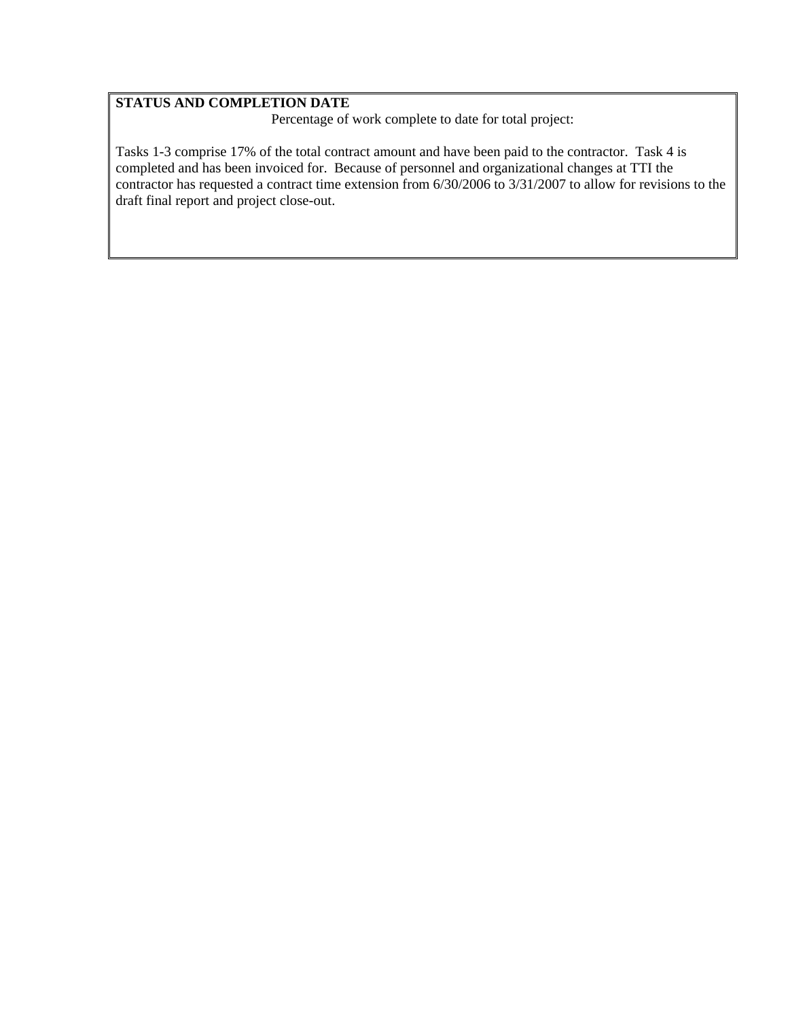## **STATUS AND COMPLETION DATE**

Percentage of work complete to date for total project:

Tasks 1-3 comprise 17% of the total contract amount and have been paid to the contractor. Task 4 is completed and has been invoiced for. Because of personnel and organizational changes at TTI the contractor has requested a contract time extension from 6/30/2006 to 3/31/2007 to allow for revisions to the draft final report and project close-out.